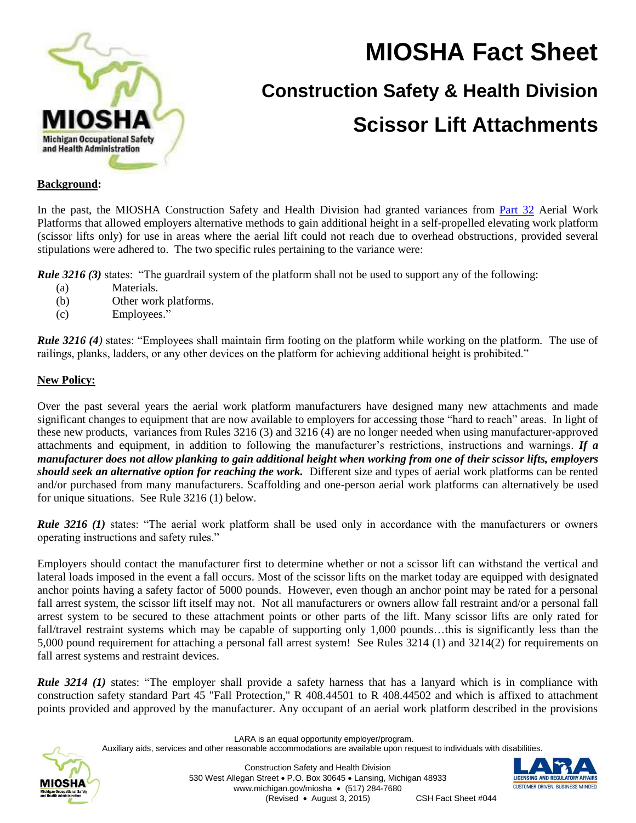

# **MIOSHA Fact Sheet Construction Safety & Health Division Scissor Lift Attachments**

#### **Background:**

In the past, the MIOSHA Construction Safety and Health Division had granted variances from [Part 32](http://www.michigan.gov/documents/lara/lara_miosha_CS_32_5-01-2013_419360_7.pdf) Aerial Work Platforms that allowed employers alternative methods to gain additional height in a self-propelled elevating work platform (scissor lifts only) for use in areas where the aerial lift could not reach due to overhead obstructions, provided several stipulations were adhered to. The two specific rules pertaining to the variance were:

*Rule 3216* (3) states: "The guardrail system of the platform shall not be used to support any of the following:

- (a) Materials.
- (b) Other work platforms.
- (c) Employees."

*Rule 3216 (4)* states: "Employees shall maintain firm footing on the platform while working on the platform. The use of railings, planks, ladders, or any other devices on the platform for achieving additional height is prohibited."

#### **New Policy:**

Over the past several years the aerial work platform manufacturers have designed many new attachments and made significant changes to equipment that are now available to employers for accessing those "hard to reach" areas. In light of these new products, variances from Rules 3216 (3) and 3216 (4) are no longer needed when using manufacturer-approved attachments and equipment, in addition to following the manufacturer's restrictions, instructions and warnings. *If a manufacturer does not allow planking to gain additional height when working from one of their scissor lifts, employers should seek an alternative option for reaching the work.* Different size and types of aerial work platforms can be rented and/or purchased from many manufacturers. Scaffolding and one-person aerial work platforms can alternatively be used for unique situations. See Rule 3216 (1) below.

*Rule 3216 (1)* states: "The aerial work platform shall be used only in accordance with the manufacturers or owners operating instructions and safety rules."

Employers should contact the manufacturer first to determine whether or not a scissor lift can withstand the vertical and lateral loads imposed in the event a fall occurs. Most of the scissor lifts on the market today are equipped with designated anchor points having a safety factor of 5000 pounds. However, even though an anchor point may be rated for a personal fall arrest system, the scissor lift itself may not. Not all manufacturers or owners allow fall restraint and/or a personal fall arrest system to be secured to these attachment points or other parts of the lift. Many scissor lifts are only rated for fall/travel restraint systems which may be capable of supporting only 1,000 pounds…this is significantly less than the 5,000 pound requirement for attaching a personal fall arrest system! See Rules 3214 (1) and 3214(2) for requirements on fall arrest systems and restraint devices.

*Rule 3214 (1)* states: "The employer shall provide a safety harness that has a lanyard which is in compliance with construction safety standard Part 45 "Fall Protection," R 408.44501 to R 408.44502 and which is affixed to attachment points provided and approved by the manufacturer. Any occupant of an aerial work platform described in the provisions

LARA is an equal opportunity employer/program.

Auxiliary aids, services and other reasonable accommodations are available upon request to individuals with disabilities.

Construction Safety and Health Division 530 West Allegan Street P.O. Box 30645 Lansing, Michigan 48933 www.michigan.gov/miosha • (517) 284-7680 (Revised August 3, 2015) CSH Fact Sheet #044